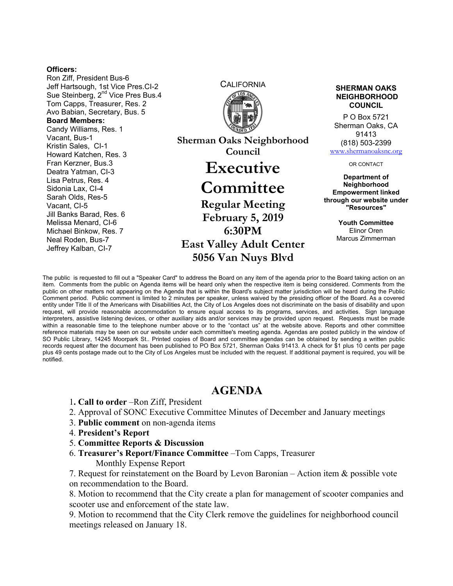## **Officers:**

Ron Ziff, President Bus-6 Jeff Hartsough, 1st Vice Pres.CI-2 Sue Steinberg, 2<sup>nd</sup> Vice Pres Bus.4 Tom Capps, Treasurer, Res. 2 Avo Babian, Secretary, Bus. 5 **Board Members:**  Candy Williams, Res. 1 Vacant, Bus-1 Kristin Sales, CI-1 Howard Katchen, Res. 3 Fran Kerzner, Bus.3 Deatra Yatman, CI-3 Lisa Petrus, Res. 4 Sidonia Lax, CI-4 Sarah Olds, Res-5 Vacant, CI-5 Jill Banks Barad, Res. 6 Melissa Menard, CI-6 Michael Binkow, Res. 7 Neal Roden, Bus-7 Jeffrey Kalban, CI-7



**Sherman Oaks Neighborhood Council Executive** 

## **Committee**

**Regular Meeting February 5, 2019 6:30PM East Valley Adult Center 5056 Van Nuys Blvd** 

## **SHERMAN OAKS NEIGHBORHOOD COUNCIL**

P O Box 5721 Sherman Oaks, CA 91413 (818) 503-2399 www.shermanoaksnc.org

OR CONTACT

**Department of Neighborhood Empowerment linked through our website under "Resources"** 

> **Youth Committee**  Elinor Oren Marcus Zimmerman

The public is requested to fill out a "Speaker Card" to address the Board on any item of the agenda prior to the Board taking action on an item. Comments from the public on Agenda items will be heard only when the respective item is being considered. Comments from the public on other matters not appearing on the Agenda that is within the Board's subject matter jurisdiction will be heard during the Public Comment period. Public comment is limited to 2 minutes per speaker, unless waived by the presiding officer of the Board. As a covered entity under Title II of the Americans with Disabilities Act, the City of Los Angeles does not discriminate on the basis of disability and upon request, will provide reasonable accommodation to ensure equal access to its programs, services, and activities. Sign language interpreters, assistive listening devices, or other auxiliary aids and/or services may be provided upon request. Requests must be made within a reasonable time to the telephone number above or to the "contact us" at the website above. Reports and other committee reference materials may be seen on our website under each committee's meeting agenda. Agendas are posted publicly in the window of SO Public Library, 14245 Moorpark St.. Printed copies of Board and committee agendas can be obtained by sending a written public records request after the document has been published to PO Box 5721, Sherman Oaks 91413. A check for \$1 plus 10 cents per page plus 49 cents postage made out to the City of Los Angeles must be included with the request. If additional payment is required, you will be notified.

## **AGENDA**

- 1**. Call to order** –Ron Ziff, President
- 2. Approval of SONC Executive Committee Minutes of December and January meetings
- 3. **Public comment** on non-agenda items
- 4. **President's Report**
- 5. **Committee Reports & Discussion**
- 6. **Treasurer's Report/Finance Committee** –Tom Capps, Treasurer Monthly Expense Report

7. Request for reinstatement on the Board by Levon Baronian – Action item & possible vote on recommendation to the Board.

8. Motion to recommend that the City create a plan for management of scooter companies and scooter use and enforcement of the state law.

9. Motion to recommend that the City Clerk remove the guidelines for neighborhood council meetings released on January 18.